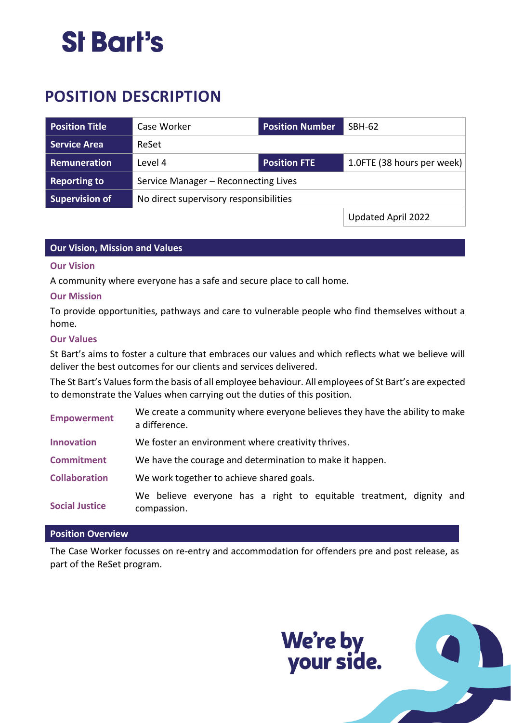## St Bart's

### **POSITION DESCRIPTION**

| <b>Position Title</b> | Case Worker                            | <b>Position Number</b> | SBH-62                     |
|-----------------------|----------------------------------------|------------------------|----------------------------|
| <b>Service Area</b>   | ReSet                                  |                        |                            |
| Remuneration          | Level 4                                | <b>Position FTE</b>    | 1.0FTE (38 hours per week) |
| <b>Reporting to</b>   | Service Manager - Reconnecting Lives   |                        |                            |
| <b>Supervision of</b> | No direct supervisory responsibilities |                        |                            |
|                       |                                        |                        | Updated April 2022         |

#### **Our Vision, Mission and Values**

#### **Our Vision**

A community where everyone has a safe and secure place to call home.

#### **Our Mission**

To provide opportunities, pathways and care to vulnerable people who find themselves without a home.

#### **Our Values**

St Bart's aims to foster a culture that embraces our values and which reflects what we believe will deliver the best outcomes for our clients and services delivered.

The St Bart's Values form the basis of all employee behaviour. All employees of St Bart's are expected to demonstrate the Values when carrying out the duties of this position.

| <b>Empowerment</b>    | We create a community where everyone believes they have the ability to make<br>a difference. |  |  |
|-----------------------|----------------------------------------------------------------------------------------------|--|--|
| <b>Innovation</b>     | We foster an environment where creativity thrives.                                           |  |  |
| <b>Commitment</b>     | We have the courage and determination to make it happen.                                     |  |  |
| <b>Collaboration</b>  | We work together to achieve shared goals.                                                    |  |  |
| <b>Social Justice</b> | We believe everyone has a right to equitable treatment, dignity and<br>compassion.           |  |  |

#### **Position Overview**

The Case Worker focusses on re-entry and accommodation for offenders pre and post release, as part of the ReSet program.

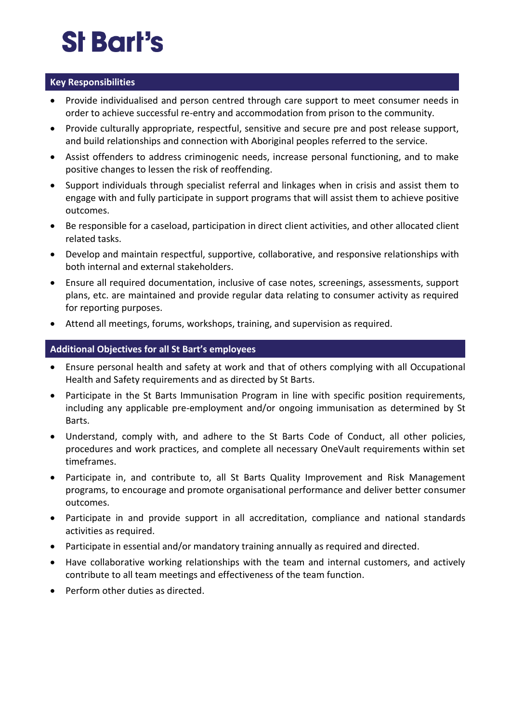# St Bart's

#### **Key Responsibilities**

- Provide individualised and person centred through care support to meet consumer needs in order to achieve successful re-entry and accommodation from prison to the community.
- Provide culturally appropriate, respectful, sensitive and secure pre and post release support, and build relationships and connection with Aboriginal peoples referred to the service.
- Assist offenders to address criminogenic needs, increase personal functioning, and to make positive changes to lessen the risk of reoffending.
- Support individuals through specialist referral and linkages when in crisis and assist them to engage with and fully participate in support programs that will assist them to achieve positive outcomes.
- Be responsible for a caseload, participation in direct client activities, and other allocated client related tasks.
- Develop and maintain respectful, supportive, collaborative, and responsive relationships with both internal and external stakeholders.
- Ensure all required documentation, inclusive of case notes, screenings, assessments, support plans, etc. are maintained and provide regular data relating to consumer activity as required for reporting purposes.
- Attend all meetings, forums, workshops, training, and supervision as required.

#### **Additional Objectives for all St Bart's employees**

- Ensure personal health and safety at work and that of others complying with all Occupational Health and Safety requirements and as directed by St Barts.
- Participate in the St Barts Immunisation Program in line with specific position requirements, including any applicable pre-employment and/or ongoing immunisation as determined by St Barts.
- Understand, comply with, and adhere to the St Barts Code of Conduct, all other policies, procedures and work practices, and complete all necessary OneVault requirements within set timeframes.
- Participate in, and contribute to, all St Barts Quality Improvement and Risk Management programs, to encourage and promote organisational performance and deliver better consumer outcomes.
- Participate in and provide support in all accreditation, compliance and national standards activities as required.
- Participate in essential and/or mandatory training annually as required and directed.
- Have collaborative working relationships with the team and internal customers, and actively contribute to all team meetings and effectiveness of the team function.
- Perform other duties as directed.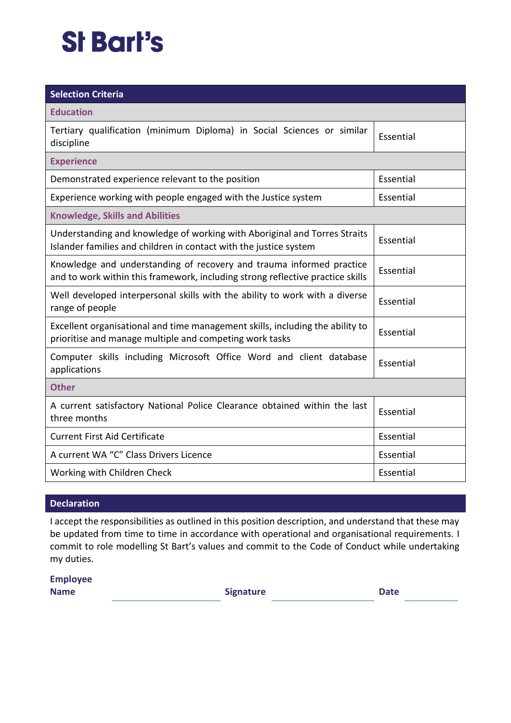## **St Bart's**

| <b>Selection Criteria</b>                                                                                                                              |           |  |  |  |
|--------------------------------------------------------------------------------------------------------------------------------------------------------|-----------|--|--|--|
| <b>Education</b>                                                                                                                                       |           |  |  |  |
| Tertiary qualification (minimum Diploma) in Social Sciences or similar<br>discipline                                                                   | Essential |  |  |  |
| <b>Experience</b>                                                                                                                                      |           |  |  |  |
| Demonstrated experience relevant to the position                                                                                                       | Essential |  |  |  |
| Experience working with people engaged with the Justice system                                                                                         | Essential |  |  |  |
| <b>Knowledge, Skills and Abilities</b>                                                                                                                 |           |  |  |  |
| Understanding and knowledge of working with Aboriginal and Torres Straits<br>Islander families and children in contact with the justice system         | Essential |  |  |  |
| Knowledge and understanding of recovery and trauma informed practice<br>and to work within this framework, including strong reflective practice skills | Essential |  |  |  |
| Well developed interpersonal skills with the ability to work with a diverse<br>range of people                                                         | Essential |  |  |  |
| Excellent organisational and time management skills, including the ability to<br>prioritise and manage multiple and competing work tasks               | Essential |  |  |  |
| Computer skills including Microsoft Office Word and client database<br>applications                                                                    | Essential |  |  |  |
| <b>Other</b>                                                                                                                                           |           |  |  |  |
| A current satisfactory National Police Clearance obtained within the last<br>three months                                                              | Essential |  |  |  |
| <b>Current First Aid Certificate</b>                                                                                                                   | Essential |  |  |  |
| A current WA "C" Class Drivers Licence                                                                                                                 | Essential |  |  |  |
| Working with Children Check                                                                                                                            | Essential |  |  |  |

#### **Declaration**

I accept the responsibilities as outlined in this position description, and understand that these may be updated from time to time in accordance with operational and organisational requirements. I commit to role modelling St Bart's values and commit to the Code of Conduct while undertaking my duties.

**Employee Name** Date **Signature Date**